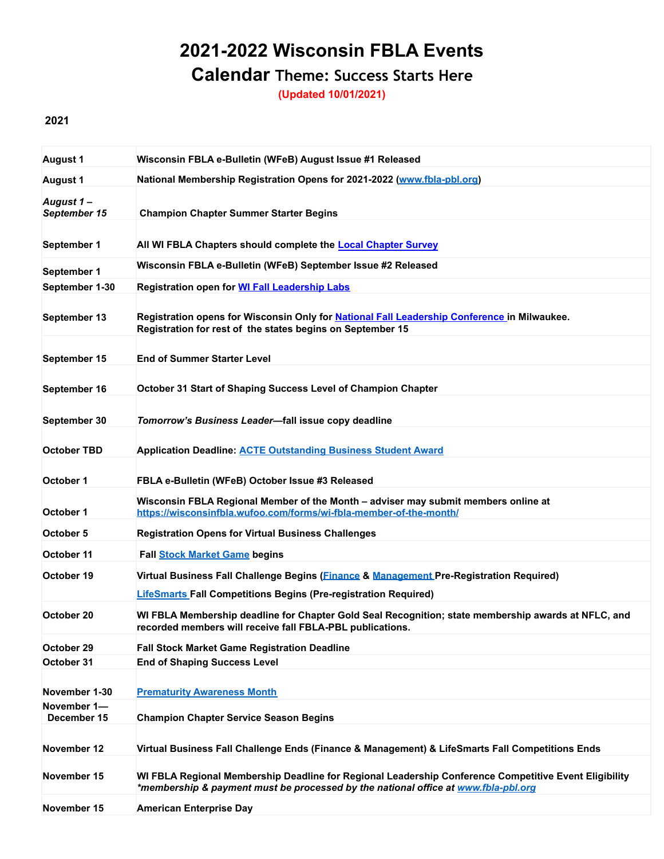## **2021-2022 Wisconsin FBLA Events**

## **Calendar Theme: Success Starts Here**

**(Updated 10/01/2021)**

## **2021**

| <b>August 1</b>            | Wisconsin FBLA e-Bulletin (WFeB) August Issue #1 Released                                                                                                                                   |  |  |  |  |
|----------------------------|---------------------------------------------------------------------------------------------------------------------------------------------------------------------------------------------|--|--|--|--|
| <b>August 1</b>            | National Membership Registration Opens for 2021-2022 (www.fbla-pbl.org)                                                                                                                     |  |  |  |  |
| August 1-<br>September 15  | <b>Champion Chapter Summer Starter Begins</b>                                                                                                                                               |  |  |  |  |
| September 1                | All WI FBLA Chapters should complete the <b>Local Chapter Survey</b>                                                                                                                        |  |  |  |  |
| September 1                | Wisconsin FBLA e-Bulletin (WFeB) September Issue #2 Released                                                                                                                                |  |  |  |  |
| September 1-30             | Registration open for WI Fall Leadership Labs                                                                                                                                               |  |  |  |  |
| September 13               | Registration opens for Wisconsin Only for National Fall Leadership Conference in Milwaukee.<br>Registration for rest of the states begins on September 15                                   |  |  |  |  |
| September 15               | <b>End of Summer Starter Level</b>                                                                                                                                                          |  |  |  |  |
|                            |                                                                                                                                                                                             |  |  |  |  |
| September 16               | October 31 Start of Shaping Success Level of Champion Chapter                                                                                                                               |  |  |  |  |
| September 30               | Tomorrow's Business Leader-fall issue copy deadline                                                                                                                                         |  |  |  |  |
| <b>October TBD</b>         | <b>Application Deadline: ACTE Outstanding Business Student Award</b>                                                                                                                        |  |  |  |  |
| October 1                  | FBLA e-Bulletin (WFeB) October Issue #3 Released                                                                                                                                            |  |  |  |  |
| October 1                  | Wisconsin FBLA Regional Member of the Month – adviser may submit members online at<br>https://wisconsinfbla.wufoo.com/forms/wi-fbla-member-of-the-month/                                    |  |  |  |  |
| October 5                  | <b>Registration Opens for Virtual Business Challenges</b>                                                                                                                                   |  |  |  |  |
| October 11                 | <b>Fall Stock Market Game begins</b>                                                                                                                                                        |  |  |  |  |
| October 19                 | Virtual Business Fall Challenge Begins (Finance & Management Pre-Registration Required)                                                                                                     |  |  |  |  |
|                            | <b>LifeSmarts Fall Competitions Begins (Pre-registration Required)</b>                                                                                                                      |  |  |  |  |
| October 20                 | WI FBLA Membership deadline for Chapter Gold Seal Recognition; state membership awards at NFLC, and<br>recorded members will receive fall FBLA-PBL publications.                            |  |  |  |  |
| October 29                 | <b>Fall Stock Market Game Registration Deadline</b>                                                                                                                                         |  |  |  |  |
| October 31                 | <b>End of Shaping Success Level</b>                                                                                                                                                         |  |  |  |  |
| November 1-30              | <b>Prematurity Awareness Month</b>                                                                                                                                                          |  |  |  |  |
| November 1-<br>December 15 | <b>Champion Chapter Service Season Begins</b>                                                                                                                                               |  |  |  |  |
| November 12                | Virtual Business Fall Challenge Ends (Finance & Management) & LifeSmarts Fall Competitions Ends                                                                                             |  |  |  |  |
| November 15                | WI FBLA Regional Membership Deadline for Regional Leadership Conference Competitive Event Eligibility<br>*membership & payment must be processed by the national office at www.fbla-pbl.org |  |  |  |  |
| November 15                | <b>American Enterprise Day</b>                                                                                                                                                              |  |  |  |  |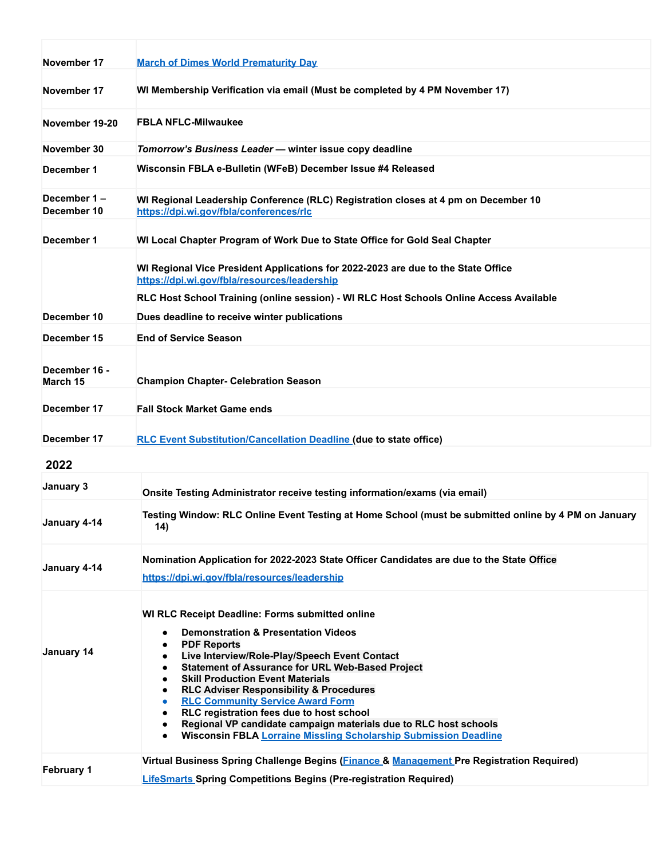| November 17                | <b>March of Dimes World Prematurity Day</b>                                                                                                                                                                                                                                                                                                                                                                                                                                                                                                                                                                                                                                                     |  |  |  |  |  |
|----------------------------|-------------------------------------------------------------------------------------------------------------------------------------------------------------------------------------------------------------------------------------------------------------------------------------------------------------------------------------------------------------------------------------------------------------------------------------------------------------------------------------------------------------------------------------------------------------------------------------------------------------------------------------------------------------------------------------------------|--|--|--|--|--|
| November 17                | WI Membership Verification via email (Must be completed by 4 PM November 17)                                                                                                                                                                                                                                                                                                                                                                                                                                                                                                                                                                                                                    |  |  |  |  |  |
| November 19-20             | <b>FBLA NFLC-Milwaukee</b>                                                                                                                                                                                                                                                                                                                                                                                                                                                                                                                                                                                                                                                                      |  |  |  |  |  |
| November 30                | Tomorrow's Business Leader - winter issue copy deadline                                                                                                                                                                                                                                                                                                                                                                                                                                                                                                                                                                                                                                         |  |  |  |  |  |
| December 1                 | Wisconsin FBLA e-Bulletin (WFeB) December Issue #4 Released                                                                                                                                                                                                                                                                                                                                                                                                                                                                                                                                                                                                                                     |  |  |  |  |  |
| December 1-<br>December 10 | WI Regional Leadership Conference (RLC) Registration closes at 4 pm on December 10<br>https://dpi.wi.gov/fbla/conferences/rlc                                                                                                                                                                                                                                                                                                                                                                                                                                                                                                                                                                   |  |  |  |  |  |
| December 1                 | WI Local Chapter Program of Work Due to State Office for Gold Seal Chapter                                                                                                                                                                                                                                                                                                                                                                                                                                                                                                                                                                                                                      |  |  |  |  |  |
|                            | WI Regional Vice President Applications for 2022-2023 are due to the State Office<br>https://dpi.wi.gov/fbla/resources/leadership<br>RLC Host School Training (online session) - WI RLC Host Schools Online Access Available                                                                                                                                                                                                                                                                                                                                                                                                                                                                    |  |  |  |  |  |
| December 10                | Dues deadline to receive winter publications                                                                                                                                                                                                                                                                                                                                                                                                                                                                                                                                                                                                                                                    |  |  |  |  |  |
|                            |                                                                                                                                                                                                                                                                                                                                                                                                                                                                                                                                                                                                                                                                                                 |  |  |  |  |  |
| December 15                | <b>End of Service Season</b>                                                                                                                                                                                                                                                                                                                                                                                                                                                                                                                                                                                                                                                                    |  |  |  |  |  |
| December 16 -<br>March 15  | <b>Champion Chapter- Celebration Season</b>                                                                                                                                                                                                                                                                                                                                                                                                                                                                                                                                                                                                                                                     |  |  |  |  |  |
| December 17                | <b>Fall Stock Market Game ends</b>                                                                                                                                                                                                                                                                                                                                                                                                                                                                                                                                                                                                                                                              |  |  |  |  |  |
| December 17                | <b>RLC Event Substitution/Cancellation Deadline (due to state office)</b>                                                                                                                                                                                                                                                                                                                                                                                                                                                                                                                                                                                                                       |  |  |  |  |  |
| 2022                       |                                                                                                                                                                                                                                                                                                                                                                                                                                                                                                                                                                                                                                                                                                 |  |  |  |  |  |
| January 3                  | Onsite Testing Administrator receive testing information/exams (via email)                                                                                                                                                                                                                                                                                                                                                                                                                                                                                                                                                                                                                      |  |  |  |  |  |
| January 4-14               | Testing Window: RLC Online Event Testing at Home School (must be submitted online by 4 PM on January<br>14)                                                                                                                                                                                                                                                                                                                                                                                                                                                                                                                                                                                     |  |  |  |  |  |
| January 4-14               | Nomination Application for 2022-2023 State Officer Candidates are due to the State Office<br>https://dpi.wi.gov/fbla/resources/leadership                                                                                                                                                                                                                                                                                                                                                                                                                                                                                                                                                       |  |  |  |  |  |
| January 14                 | <b>WI RLC Receipt Deadline: Forms submitted online</b><br><b>Demonstration &amp; Presentation Videos</b><br><b>PDF Reports</b><br>$\bullet$<br>Live Interview/Role-Play/Speech Event Contact<br>$\bullet$<br><b>Statement of Assurance for URL Web-Based Project</b><br>$\bullet$<br><b>Skill Production Event Materials</b><br>$\bullet$<br><b>RLC Adviser Responsibility &amp; Procedures</b><br>$\bullet$<br><b>RLC Community Service Award Form</b><br>$\bullet$<br>RLC registration fees due to host school<br>$\bullet$<br>Regional VP candidate campaign materials due to RLC host schools<br>$\bullet$<br>Wisconsin FBLA Lorraine Missling Scholarship Submission Deadline<br>$\bullet$ |  |  |  |  |  |
| <b>February 1</b>          | Virtual Business Spring Challenge Begins (Finance & Management Pre Registration Required)<br><b>LifeSmarts Spring Competitions Begins (Pre-registration Required)</b>                                                                                                                                                                                                                                                                                                                                                                                                                                                                                                                           |  |  |  |  |  |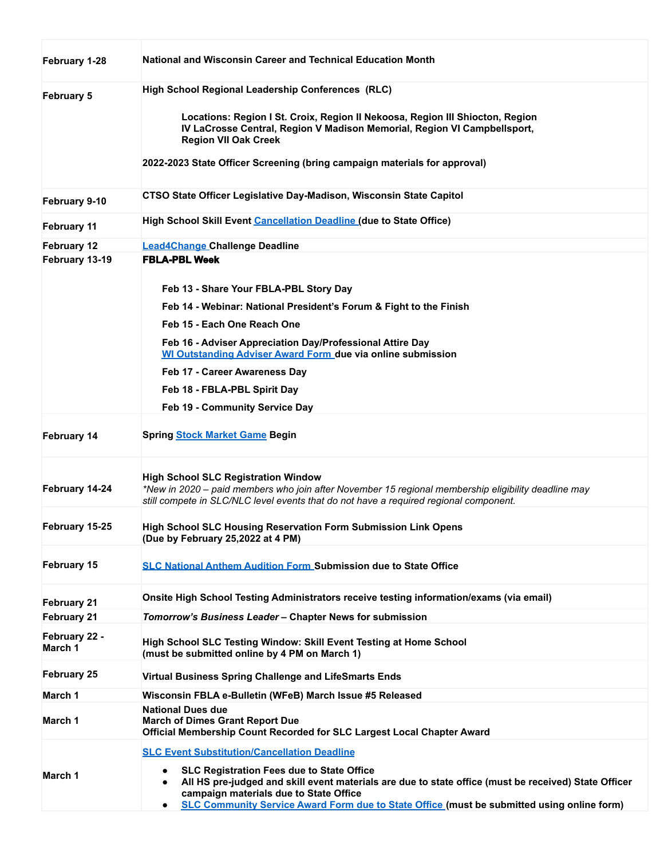| February 1-28                                                 | National and Wisconsin Career and Technical Education Month                                                                                                                                                                                   |  |  |  |  |
|---------------------------------------------------------------|-----------------------------------------------------------------------------------------------------------------------------------------------------------------------------------------------------------------------------------------------|--|--|--|--|
| <b>February 5</b>                                             | High School Regional Leadership Conferences (RLC)<br>Locations: Region I St. Croix, Region II Nekoosa, Region III Shiocton, Region<br>IV LaCrosse Central, Region V Madison Memorial, Region VI Campbellsport,<br><b>Region VII Oak Creek</b> |  |  |  |  |
|                                                               | 2022-2023 State Officer Screening (bring campaign materials for approval)                                                                                                                                                                     |  |  |  |  |
| February 9-10                                                 | CTSO State Officer Legislative Day-Madison, Wisconsin State Capitol                                                                                                                                                                           |  |  |  |  |
| <b>February 11</b>                                            | High School Skill Event Cancellation Deadline (due to State Office)                                                                                                                                                                           |  |  |  |  |
| <b>February 12</b><br>February 13-19                          | <b>Lead4Change Challenge Deadline</b><br><b>FBLA-PBL Week</b>                                                                                                                                                                                 |  |  |  |  |
|                                                               | Feb 13 - Share Your FBLA-PBL Story Day                                                                                                                                                                                                        |  |  |  |  |
|                                                               | Feb 14 - Webinar: National President's Forum & Fight to the Finish                                                                                                                                                                            |  |  |  |  |
|                                                               | Feb 15 - Each One Reach One<br>Feb 16 - Adviser Appreciation Day/Professional Attire Day                                                                                                                                                      |  |  |  |  |
|                                                               | WI Outstanding Adviser Award Form due via online submission                                                                                                                                                                                   |  |  |  |  |
| Feb 17 - Career Awareness Day<br>Feb 18 - FBLA-PBL Spirit Day |                                                                                                                                                                                                                                               |  |  |  |  |
|                                                               | Feb 19 - Community Service Day                                                                                                                                                                                                                |  |  |  |  |
| February 14                                                   | <b>Spring Stock Market Game Begin</b>                                                                                                                                                                                                         |  |  |  |  |
| February 14-24                                                | <b>High School SLC Registration Window</b><br>*New in 2020 – paid members who join after November 15 regional membership eligibility deadline may<br>still compete in SLC/NLC level events that do not have a required regional component.    |  |  |  |  |
| February 15-25                                                | High School SLC Housing Reservation Form Submission Link Opens<br>(Due by February 25,2022 at 4 PM)                                                                                                                                           |  |  |  |  |
| <b>February 15</b>                                            | <b>SLC National Anthem Audition Form Submission due to State Office</b>                                                                                                                                                                       |  |  |  |  |
| <b>February 21</b>                                            | Onsite High School Testing Administrators receive testing information/exams (via email)                                                                                                                                                       |  |  |  |  |
| <b>February 21</b>                                            | Tomorrow's Business Leader - Chapter News for submission                                                                                                                                                                                      |  |  |  |  |
| February 22 -<br>March 1                                      | High School SLC Testing Window: Skill Event Testing at Home School<br>(must be submitted online by 4 PM on March 1)                                                                                                                           |  |  |  |  |
| February 25                                                   | Virtual Business Spring Challenge and LifeSmarts Ends                                                                                                                                                                                         |  |  |  |  |
| March 1                                                       | Wisconsin FBLA e-Bulletin (WFeB) March Issue #5 Released                                                                                                                                                                                      |  |  |  |  |
| March 1                                                       | <b>March of Dimes Grant Report Due</b><br>Official Membership Count Recorded for SLC Largest Local Chapter Award                                                                                                                              |  |  |  |  |
|                                                               | <b>SLC Event Substitution/Cancellation Deadline</b>                                                                                                                                                                                           |  |  |  |  |
| March 1                                                       | <b>SLC Registration Fees due to State Office</b><br>٠<br>All HS pre-judged and skill event materials are due to state office (must be received) State Officer<br>٠<br>campaign materials due to State Office                                  |  |  |  |  |
|                                                               | <b>National Dues due</b><br>SLC Community Service Award Form due to State Office (must be submitted using online form)<br>$\bullet$                                                                                                           |  |  |  |  |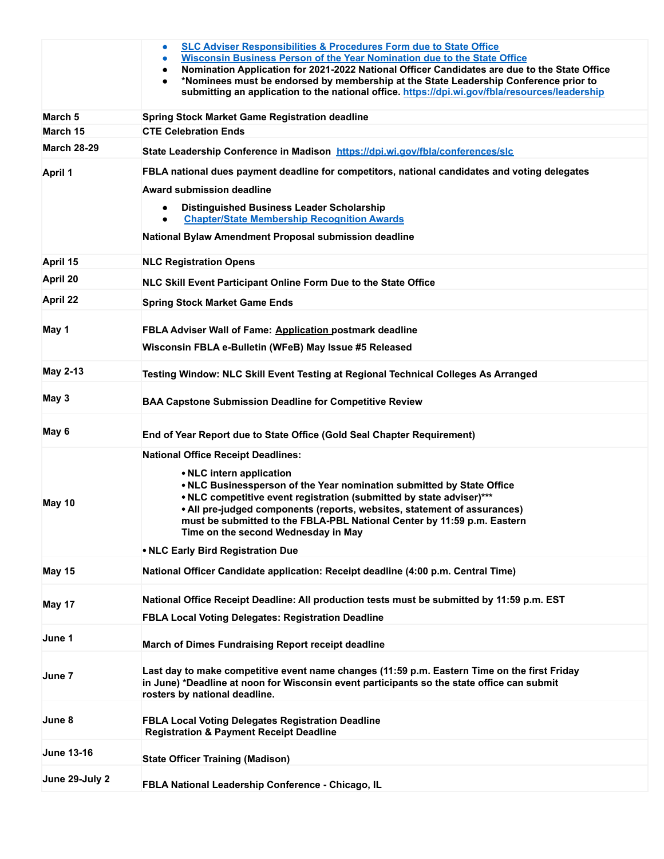|                    | <b>SLC Adviser Responsibilities &amp; Procedures Form due to State Office</b><br>$\bullet$<br>Wisconsin Business Person of the Year Nomination due to the State Office<br>Nomination Application for 2021-2022 National Officer Candidates are due to the State Office<br>$\bullet$<br>*Nominees must be endorsed by membership at the State Leadership Conference prior to<br>$\bullet$<br>submitting an application to the national office. https://dpi.wi.gov/fbla/resources/leadership |  |  |  |  |  |
|--------------------|--------------------------------------------------------------------------------------------------------------------------------------------------------------------------------------------------------------------------------------------------------------------------------------------------------------------------------------------------------------------------------------------------------------------------------------------------------------------------------------------|--|--|--|--|--|
| March <sub>5</sub> | <b>Spring Stock Market Game Registration deadline</b>                                                                                                                                                                                                                                                                                                                                                                                                                                      |  |  |  |  |  |
| March 15           | <b>CTE Celebration Ends</b>                                                                                                                                                                                                                                                                                                                                                                                                                                                                |  |  |  |  |  |
| <b>March 28-29</b> | State Leadership Conference in Madison https://dpi.wi.gov/fbla/conferences/slc                                                                                                                                                                                                                                                                                                                                                                                                             |  |  |  |  |  |
| <b>April 1</b>     | FBLA national dues payment deadline for competitors, national candidates and voting delegates<br><b>Award submission deadline</b><br><b>Distinguished Business Leader Scholarship</b><br>$\bullet$<br><b>Chapter/State Membership Recognition Awards</b><br>$\bullet$<br>National Bylaw Amendment Proposal submission deadline                                                                                                                                                             |  |  |  |  |  |
| April 15           | <b>NLC Registration Opens</b>                                                                                                                                                                                                                                                                                                                                                                                                                                                              |  |  |  |  |  |
| April 20           | NLC Skill Event Participant Online Form Due to the State Office                                                                                                                                                                                                                                                                                                                                                                                                                            |  |  |  |  |  |
| April 22           | <b>Spring Stock Market Game Ends</b>                                                                                                                                                                                                                                                                                                                                                                                                                                                       |  |  |  |  |  |
| May 1              | FBLA Adviser Wall of Fame: Application postmark deadline<br>Wisconsin FBLA e-Bulletin (WFeB) May Issue #5 Released                                                                                                                                                                                                                                                                                                                                                                         |  |  |  |  |  |
| <b>May 2-13</b>    | Testing Window: NLC Skill Event Testing at Regional Technical Colleges As Arranged                                                                                                                                                                                                                                                                                                                                                                                                         |  |  |  |  |  |
| May 3              | <b>BAA Capstone Submission Deadline for Competitive Review</b>                                                                                                                                                                                                                                                                                                                                                                                                                             |  |  |  |  |  |
| May 6              | End of Year Report due to State Office (Gold Seal Chapter Requirement)                                                                                                                                                                                                                                                                                                                                                                                                                     |  |  |  |  |  |
| May 10             | <b>National Office Receipt Deadlines:</b><br>• NLC intern application<br>. NLC Businessperson of the Year nomination submitted by State Office<br>. NLC competitive event registration (submitted by state adviser)***<br>. All pre-judged components (reports, websites, statement of assurances)<br>must be submitted to the FBLA-PBL National Center by 11:59 p.m. Eastern<br>Time on the second Wednesday in May<br>• NLC Early Bird Registration Due                                  |  |  |  |  |  |
| <b>May 15</b>      | National Officer Candidate application: Receipt deadline (4:00 p.m. Central Time)                                                                                                                                                                                                                                                                                                                                                                                                          |  |  |  |  |  |
| May 17             | National Office Receipt Deadline: All production tests must be submitted by 11:59 p.m. EST<br><b>FBLA Local Voting Delegates: Registration Deadline</b>                                                                                                                                                                                                                                                                                                                                    |  |  |  |  |  |
| June 1             | <b>March of Dimes Fundraising Report receipt deadline</b>                                                                                                                                                                                                                                                                                                                                                                                                                                  |  |  |  |  |  |
| June 7             | Last day to make competitive event name changes (11:59 p.m. Eastern Time on the first Friday<br>in June) *Deadline at noon for Wisconsin event participants so the state office can submit<br>rosters by national deadline.                                                                                                                                                                                                                                                                |  |  |  |  |  |
| June 8             | <b>FBLA Local Voting Delegates Registration Deadline</b><br><b>Registration &amp; Payment Receipt Deadline</b>                                                                                                                                                                                                                                                                                                                                                                             |  |  |  |  |  |
| <b>June 13-16</b>  | <b>State Officer Training (Madison)</b>                                                                                                                                                                                                                                                                                                                                                                                                                                                    |  |  |  |  |  |
| June 29-July 2     | FBLA National Leadership Conference - Chicago, IL                                                                                                                                                                                                                                                                                                                                                                                                                                          |  |  |  |  |  |